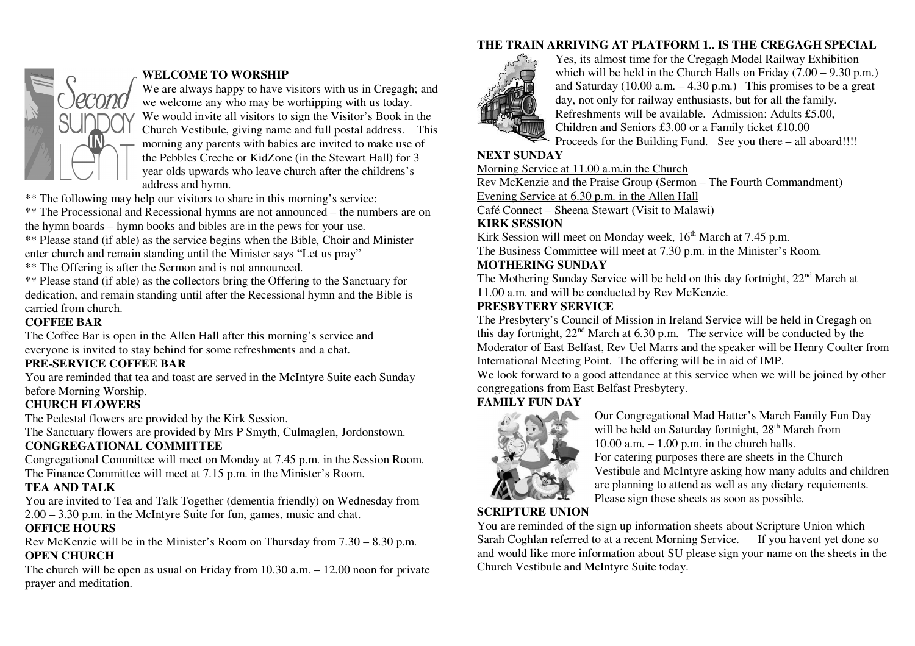## **THE TRAIN ARRIVING AT PLATFORM 1.. IS THE CREGAGH SPECIAL**



# **WELCOME TO WORSHIP**

 We are always happy to have visitors with us in Cregagh; and we welcome any who may be worhipping with us today. We would invite all visitors to sign the Visitor's Book in the Church Vestibule, giving name and full postal address. This morning any parents with babies are invited to make use of the Pebbles Creche or KidZone (in the Stewart Hall) for 3 year olds upwards who leave church after the childrens's address and hymn.

\*\* The following may help our visitors to share in this morning's service:

 \*\* The Processional and Recessional hymns are not announced – the numbers are on the hymn boards – hymn books and bibles are in the pews for your use.

 \*\* Please stand (if able) as the service begins when the Bible, Choir and Minister enter church and remain standing until the Minister says "Let us pray"

\*\* The Offering is after the Sermon and is not announced.

 \*\* Please stand (if able) as the collectors bring the Offering to the Sanctuary for dedication, and remain standing until after the Recessional hymn and the Bible is carried from church.

#### **COFFEE BAR**

 The Coffee Bar is open in the Allen Hall after this morning's service and everyone is invited to stay behind for some refreshments and a chat.

## **PRE-SERVICE COFFEE BAR**

 You are reminded that tea and toast are served in the McIntyre Suite each Sunday before Morning Worship.

## **CHURCH FLOWERS**

The Pedestal flowers are provided by the Kirk Session.

The Sanctuary flowers are provided by Mrs P Smyth, Culmaglen, Jordonstown.

## **CONGREGATIONAL COMMITTEE**

 Congregational Committee will meet on Monday at 7.45 p.m. in the Session Room. The Finance Committee will meet at 7.15 p.m. in the Minister's Room.

## **TEA AND TALK**

 You are invited to Tea and Talk Together (dementia friendly) on Wednesday from 2.00 – 3.30 p.m. in the McIntyre Suite for fun, games, music and chat.

## **OFFICE HOURS**

 Rev McKenzie will be in the Minister's Room on Thursday from 7.30 – 8.30 p.m. **OPEN CHURCH** 

 The church will be open as usual on Friday from 10.30 a.m. – 12.00 noon for private prayer and meditation.



Yes, its almost time for the Cregagh Model Railway Exhibition which will be held in the Church Halls on Friday  $(7.00 - 9.30 \text{ p.m.})$ and Saturday  $(10.00 \text{ a.m.} - 4.30 \text{ p.m.})$  This promises to be a great day, not only for railway enthusiasts, but for all the family. Refreshments will be available. Admission: Adults £5.00, Children and Seniors £3.00 or a Family ticket £10.00 Proceeds for the Building Fund. See you there – all aboard!!!!

## **NEXT SUNDAY**

Morning Service at 11.00 a.m.in the Church

Rev McKenzie and the Praise Group (Sermon – The Fourth Commandment)

Evening Service at 6.30 p.m. in the Allen Hall

Café Connect – Sheena Stewart (Visit to Malawi)

#### **KIRK SESSION**

Kirk Session will meet on Monday week, 16<sup>th</sup> March at 7.45 p.m.

The Business Committee will meet at 7.30 p.m. in the Minister's Room.

## **MOTHERING SUNDAY**

The Mothering Sunday Service will be held on this day fortnight, 22<sup>nd</sup> March at 11.00 a.m. and will be conducted by Rev McKenzie.

## **PRESBYTERY SERVICE**

 The Presbytery's Council of Mission in Ireland Service will be held in Cregagh on this day fortnight,  $22<sup>nd</sup>$  March at 6.30 p.m. The service will be conducted by the Moderator of East Belfast, Rev Uel Marrs and the speaker will be Henry Coulter from International Meeting Point. The offering will be in aid of IMP.

 We look forward to a good attendance at this service when we will be joined by other congregations from East Belfast Presbytery.

# **FAMILY FUN DAY**



Our Congregational Mad Hatter's March Family Fun Day will be held on Saturday fortnight, 28<sup>th</sup> March from  $10.00$  a.m.  $-1.00$  p.m. in the church halls. For catering purposes there are sheets in the Church Vestibule and McIntyre asking how many adults and children are planning to attend as well as any dietary requiements. Please sign these sheets as soon as possible.

# **SCRIPTURE UNION**

 You are reminded of the sign up information sheets about Scripture Union which Sarah Coghlan referred to at a recent Morning Service. If you havent yet done so and would like more information about SU please sign your name on the sheets in the Church Vestibule and McIntyre Suite today.